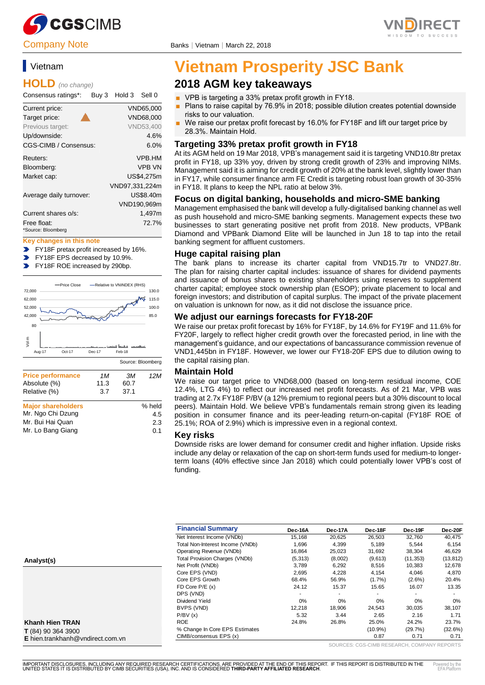

# Vietnam

### **HOLD** *(no change)*

Consensus ratings\*: Buy 3 Hold 3 Sell 0

| Current price:          | VND65.000        |
|-------------------------|------------------|
| Target price:           | VND68.000        |
| Previous target:        | <b>VND53.400</b> |
| Up/downside:            | 4.6%             |
| CGS-CIMB / Consensus:   | 6.0%             |
| Reuters:                | <b>VPB.HM</b>    |
| Bloomberg:              | <b>VPB VN</b>    |
| Market cap:             | US\$4,275m       |
|                         | VND97,331,224m   |
| Average daily turnover: | US\$8.40m        |
|                         | VND190,969m      |
| Current shares o/s:     | 1.497m           |
| Free float:             | 72.7%            |
| *Source: Bloomberg      |                  |

#### **Key changes in this note**

- FY18F pretax profit increased by 16%.  $\overline{\phantom{0}}$
- $\blacktriangleright$ FY18F EPS decreased by 10.9%.
- FY18F ROE increased by 290bp.  $\blacksquare$



| <b>Major shareholders</b> | % held |
|---------------------------|--------|
| Mr. Ngo Chi Dzung         | 4.5    |
| Mr. Bui Hai Quan          | 2.3    |
| Mr. Lo Bang Giang         | 0.1    |
|                           |        |



# **Vietnam Prosperity JSC Bank**

# **2018 AGM key takeaways**

- VPB is targeting a 33% pretax profit growth in FY18.
- Plans to raise capital by 76.9% in 2018; possible dilution creates potential downside risks to our valuation.
- We raise our pretax profit forecast by 16.0% for FY18F and lift our target price by 28.3%. Maintain Hold.

### **Targeting 33% pretax profit growth in FY18**

At its AGM held on 19 Mar 2018, VPB's management said it is targeting VND10.8tr pretax profit in FY18, up 33% yoy, driven by strong credit growth of 23% and improving NIMs. Management said it is aiming for credit growth of 20% at the bank level, slightly lower than in FY17, while consumer finance arm FE Credit is targeting robust loan growth of 30-35% in FY18. It plans to keep the NPL ratio at below 3%.

#### **Focus on digital banking, households and micro-SME banking**

Management emphasised the bank will develop a fully-digitalised banking channel as well as push household and micro-SME banking segments. Management expects these two businesses to start generating positive net profit from 2018. New products, VPBank Diamond and VPBank Diamond Elite will be launched in Jun 18 to tap into the retail banking segment for affluent customers.

### **Huge capital raising plan**

The bank plans to increase its charter capital from VND15.7tr to VND27.8tr. The plan for raising charter capital includes: issuance of shares for dividend payments and issuance of bonus shares to existing shareholders using reserves to supplement charter capital; employee stock ownership plan (ESOP); private placement to local and foreign investors; and distribution of capital surplus. The impact of the private placement on valuation is unknown for now, as it did not disclose the issuance price.

### **We adjust our earnings forecasts for FY18-20F**

We raise our pretax profit forecast by 16% for FY18F, by 14.6% for FY19F and 11.6% for FY20F, largely to reflect higher credit growth over the forecasted period, in line with the management's guidance, and our expectations of bancassurance commission revenue of VND1,445bn in FY18F. However, we lower our FY18-20F EPS due to dilution owing to the capital raising plan.

#### **Maintain Hold**

We raise our target price to VND68,000 (based on long-term residual income, COE 12.4%, LTG 4%) to reflect our increased net profit forecasts. As of 21 Mar, VPB was trading at 2.7x FY18F P/BV (a 12% premium to regional peers but a 30% discount to local peers). Maintain Hold. We believe VPB's fundamentals remain strong given its leading position in consumer finance and its peer-leading return-on-capital (FY18F ROE of 25.1%; ROA of 2.9%) which is impressive even in a regional context.

#### **Key risks**

Downside risks are lower demand for consumer credit and higher inflation. Upside risks include any delay or relaxation of the cap on short-term funds used for medium-to longerterm loans (40% effective since Jan 2018) which could potentially lower VPB's cost of funding.

| <b>Financial Summary</b>         | Dec-16A  | Dec-17A | Dec-18F    | Dec-19F   | Dec-20F   |
|----------------------------------|----------|---------|------------|-----------|-----------|
| Net Interest Income (VNDb)       | 15.168   | 20,625  | 26,503     | 32.760    | 40.475    |
| Total Non-Interest Income (VNDb) | 1,696    | 4,399   | 5,189      | 5.544     | 6,154     |
| Operating Revenue (VNDb)         | 16.864   | 25.023  | 31.692     | 38.304    | 46,629    |
| Total Provision Charges (VNDb)   | (5, 313) | (8,002) | (9,613)    | (11, 353) | (13, 812) |
| Net Profit (VNDb)                | 3,789    | 6,292   | 8,516      | 10,383    | 12,678    |
| Core EPS (VND)                   | 2.695    | 4.228   | 4.154      | 4.046     | 4.870     |
| Core EPS Growth                  | 68.4%    | 56.9%   | $(1.7\%)$  | $(2.6\%)$ | 20.4%     |
| FD Core $P/E(x)$                 | 24.12    | 15.37   | 15.65      | 16.07     | 13.35     |
| DPS (VND)                        |          |         |            |           |           |
| Dividend Yield                   | 0%       | 0%      | $0\%$      | 0%        | 0%        |
| BVPS (VND)                       | 12.218   | 18.906  | 24.543     | 30.035    | 38.107    |
| P/BV(x)                          | 5.32     | 3.44    | 2.65       | 2.16      | 1.71      |
| <b>ROE</b>                       | 24.8%    | 26.8%   | 25.0%      | 24.2%     | 23.7%     |
| % Change In Core EPS Estimates   |          |         | $(10.9\%)$ | (29.7%)   | (32.6%)   |
| CIMB/consensus EPS (x)           |          |         | 0.87       | 0.71      | 0.71      |

**Analyst(s)**

**Khanh Hien TRAN T** (84) 90 364 3900 **E** hien.trankhanh@vndirect.com.vn

SOURCES: CGS-CIMB RESEARCH, COMPANY REPORTS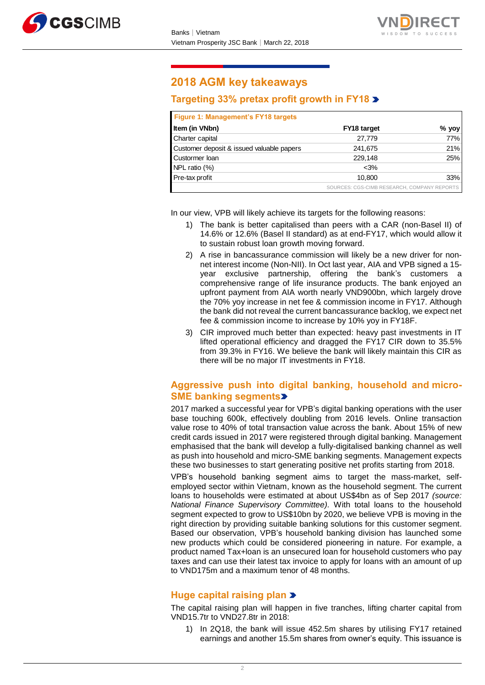



# **2018 AGM key takeaways**

# **Targeting 33% pretax profit growth in FY18**

| Figure 1: Management's FY18 targets       |                                             |       |
|-------------------------------------------|---------------------------------------------|-------|
| Item (in VNbn)                            | FY18 target                                 | % yoy |
| Charter capital                           | 27,779                                      | 77%   |
| Customer deposit & issued valuable papers | 241,675                                     | 21%   |
| Custormer loan                            | 229.148                                     | 25%   |
| NPL ratio (%)                             | $<$ 3%                                      |       |
| Pre-tax profit                            | 10,800                                      | 33%   |
|                                           | SOURCES: CGS-CIMB RESEARCH, COMPANY REPORTS |       |

In our view, VPB will likely achieve its targets for the following reasons:

- 1) The bank is better capitalised than peers with a CAR (non-Basel II) of 14.6% or 12.6% (Basel II standard) as at end-FY17, which would allow it to sustain robust loan growth moving forward.
- 2) A rise in bancassurance commission will likely be a new driver for nonnet interest income (Non-NII). In Oct last year, AIA and VPB signed a 15 year exclusive partnership, offering the bank's customers a comprehensive range of life insurance products. The bank enjoyed an upfront payment from AIA worth nearly VND900bn, which largely drove the 70% yoy increase in net fee & commission income in FY17. Although the bank did not reveal the current bancassurance backlog, we expect net fee & commission income to increase by 10% yoy in FY18F.
- 3) CIR improved much better than expected: heavy past investments in IT lifted operational efficiency and dragged the FY17 CIR down to 35.5% from 39.3% in FY16. We believe the bank will likely maintain this CIR as there will be no major IT investments in FY18.

### **Aggressive push into digital banking, household and micro-SME banking segments**

2017 marked a successful year for VPB's digital banking operations with the user base touching 600k, effectively doubling from 2016 levels. Online transaction value rose to 40% of total transaction value across the bank. About 15% of new credit cards issued in 2017 were registered through digital banking. Management emphasised that the bank will develop a fully-digitalised banking channel as well as push into household and micro-SME banking segments. Management expects these two businesses to start generating positive net profits starting from 2018.

VPB's household banking segment aims to target the mass-market, selfemployed sector within Vietnam, known as the household segment. The current loans to households were estimated at about US\$4bn as of Sep 2017 *(source: National Finance Supervisory Committee).* With total loans to the household segment expected to grow to US\$10bn by 2020, we believe VPB is moving in the right direction by providing suitable banking solutions for this customer segment. Based our observation, VPB's household banking division has launched some new products which could be considered pioneering in nature. For example, a product named Tax+loan is an unsecured loan for household customers who pay taxes and can use their latest tax invoice to apply for loans with an amount of up to VND175m and a maximum tenor of 48 months.

# **Huge capital raising plan**

The capital raising plan will happen in five tranches, lifting charter capital from VND15.7tr to VND27.8tr in 2018:

1) In 2Q18, the bank will issue 452.5m shares by utilising FY17 retained earnings and another 15.5m shares from owner's equity. This issuance is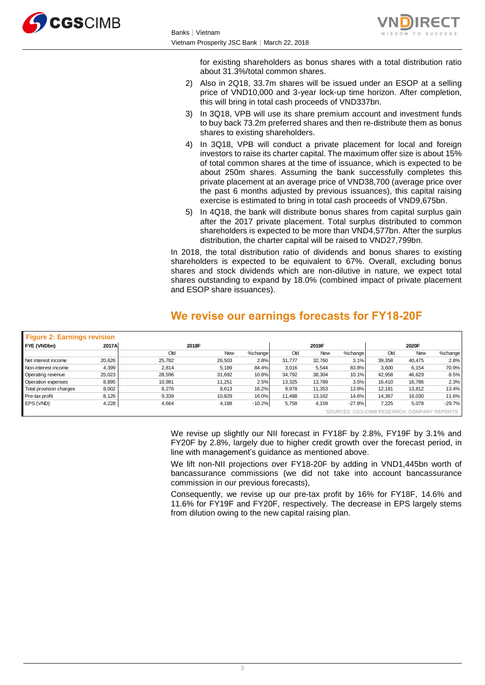



for existing shareholders as bonus shares with a total distribution ratio about 31.3%/total common shares.

- 2) Also in 2Q18, 33.7m shares will be issued under an ESOP at a selling price of VND10,000 and 3-year lock-up time horizon. After completion, this will bring in total cash proceeds of VND337bn.
- 3) In 3Q18, VPB will use its share premium account and investment funds to buy back 73.2m preferred shares and then re-distribute them as bonus shares to existing shareholders.
- 4) In 3Q18, VPB will conduct a private placement for local and foreign investors to raise its charter capital. The maximum offer size is about 15% of total common shares at the time of issuance, which is expected to be about 250m shares. Assuming the bank successfully completes this private placement at an average price of VND38,700 (average price over the past 6 months adjusted by previous issuances), this capital raising exercise is estimated to bring in total cash proceeds of VND9,675bn.
- 5) In 4Q18, the bank will distribute bonus shares from capital surplus gain after the 2017 private placement. Total surplus distributed to common shareholders is expected to be more than VND4,577bn. After the surplus distribution, the charter capital will be raised to VND27,799bn.

In 2018, the total distribution ratio of dividends and bonus shares to existing shareholders is expected to be equivalent to 67%. Overall, excluding bonus shares and stock dividends which are non-dilutive in nature, we expect total shares outstanding to expand by 18.0% (combined impact of private placement and ESOP share issuances).

# **We revise our earnings forecasts for FY18-20F**

| <b>Figure 2: Earnings revision</b> |        |        |        |          |        |            |          |                                             |            |          |
|------------------------------------|--------|--------|--------|----------|--------|------------|----------|---------------------------------------------|------------|----------|
| FYE (VNDbn)                        | 2017A  |        | 2018F  |          |        | 2019F      |          |                                             | 2020F      |          |
|                                    |        | Old    | New    | %change  | Old    | <b>New</b> | %change  | Old                                         | <b>New</b> | %change  |
| Net interest income                | 20,626 | 25,782 | 26,503 | 2.8%     | 31,777 | 32,760     | 3.1%     | 39,358                                      | 40,475     | 2.8%     |
| Non-interest income                | 4,399  | 2.814  | 5,189  | 84.4%    | 3,016  | 5,544      | 83.8%    | 3,600                                       | 6,154      | 70.9%    |
| Operating revenue                  | 25,023 | 28.596 | 31.692 | 10.8%    | 34.792 | 38,304     | 10.1%    | 42.958                                      | 46,629     | 8.5%     |
| Operation expenses                 | 8,895  | 10,981 | 11,251 | 2.5%     | 13,325 | 13,789     | 3.5%     | 16.410                                      | 16,786     | 2.3%     |
| Total provision charges            | 8,002  | 8,276  | 9,613  | 16.2%    | 9,978  | 11,353     | 13.8%    | 12.181                                      | 13,812     | 13.4%    |
| Pre-tax profit                     | 8,126  | 9,339  | 10.829 | 16.0%    | 11.488 | 13.162     | 14.6%    | 14.367                                      | 16.030     | 11.6%    |
| EPS (VND)                          | 4,228  | 4,664  | 4,188  | $-10.2%$ | 5,758  | 4,159      | $-27.8%$ | 7.225                                       | 5,078      | $-29.7%$ |
|                                    |        |        |        |          |        |            |          | SOURCES: CGS-CIMB RESEARCH, COMPANY REPORTS |            |          |

We revise up slightly our NII forecast in FY18F by 2.8%, FY19F by 3.1% and FY20F by 2.8%, largely due to higher credit growth over the forecast period, in line with management's guidance as mentioned above.

We lift non-NII projections over FY18-20F by adding in VND1,445bn worth of bancassurance commissions (we did not take into account bancassurance commission in our previous forecasts),

Consequently, we revise up our pre-tax profit by 16% for FY18F, 14.6% and 11.6% for FY19F and FY20F, respectively. The decrease in EPS largely stems from dilution owing to the new capital raising plan.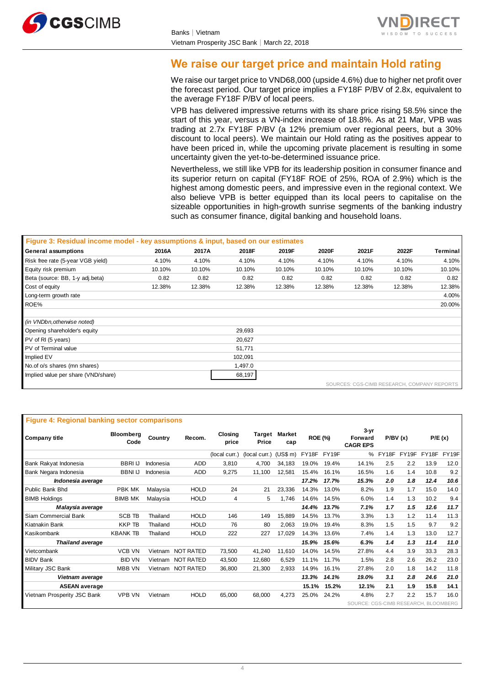



# **We raise our target price and maintain Hold rating**

We raise our target price to VND68,000 (upside 4.6%) due to higher net profit over the forecast period. Our target price implies a FY18F P/BV of 2.8x, equivalent to the average FY18F P/BV of local peers.

VPB has delivered impressive returns with its share price rising 58.5% since the start of this year, versus a VN-index increase of 18.8%. As at 21 Mar, VPB was trading at 2.7x FY18F P/BV (a 12% premium over regional peers, but a 30% discount to local peers). We maintain our Hold rating as the positives appear to have been priced in, while the upcoming private placement is resulting in some uncertainty given the yet-to-be-determined issuance price.

Nevertheless, we still like VPB for its leadership position in consumer finance and its superior return on capital (FY18F ROE of 25%, ROA of 2.9%) which is the highest among domestic peers, and impressive even in the regional context. We also believe VPB is better equipped than its local peers to capitalise on the sizeable opportunities in high-growth sunrise segments of the banking industry such as consumer finance, digital banking and household loans.

| Figure 3: Residual income model - key assumptions & input, based on our estimates |        |        |         |        |        |        |                                             |          |
|-----------------------------------------------------------------------------------|--------|--------|---------|--------|--------|--------|---------------------------------------------|----------|
| General assumptions                                                               | 2016A  | 2017A  | 2018F   | 2019F  | 2020F  | 2021F  | 2022F                                       | Terminal |
| Risk free rate (5-year VGB yield)                                                 | 4.10%  | 4.10%  | 4.10%   | 4.10%  | 4.10%  | 4.10%  | 4.10%                                       | 4.10%    |
| Equity risk premium                                                               | 10.10% | 10.10% | 10.10%  | 10.10% | 10.10% | 10.10% | 10.10%                                      | 10.10%   |
| Beta (source: BB, 1-y adj.beta)                                                   | 0.82   | 0.82   | 0.82    | 0.82   | 0.82   | 0.82   | 0.82                                        | 0.82     |
| Cost of equity                                                                    | 12.38% | 12.38% | 12.38%  | 12.38% | 12.38% | 12.38% | 12.38%                                      | 12.38%   |
| Long-term growth rate                                                             |        |        |         |        |        |        |                                             | 4.00%    |
| ROE%                                                                              |        |        |         |        |        |        |                                             | 20.00%   |
|                                                                                   |        |        |         |        |        |        |                                             |          |
| (in VNDbn, otherwise noted)                                                       |        |        |         |        |        |        |                                             |          |
| Opening shareholder's equity                                                      |        |        | 29,693  |        |        |        |                                             |          |
| PV of RI (5 years)                                                                |        |        | 20,627  |        |        |        |                                             |          |
| PV of Terminal value                                                              |        |        | 51,771  |        |        |        |                                             |          |
| Implied EV                                                                        |        |        | 102,091 |        |        |        |                                             |          |
| No.of o/s shares (mn shares)                                                      |        |        | 1,497.0 |        |        |        |                                             |          |
| Implied value per share (VND/share)                                               |        |        | 68,197  |        |        |        |                                             |          |
|                                                                                   |        |        |         |        |        |        | SOURCES: CGS-CIMB RESEARCH, COMPANY REPORTS |          |

| <b>Figure 4: Regional banking sector comparisons</b> |                   |           |                   |                  |               |                             |                |       |                                           |       |         |       |        |
|------------------------------------------------------|-------------------|-----------|-------------------|------------------|---------------|-----------------------------|----------------|-------|-------------------------------------------|-------|---------|-------|--------|
| <b>Company title</b>                                 | Bloomberg<br>Code | Country   | Recom.            | Closing<br>price | Price         | <b>Target Market</b><br>cap | <b>ROE (%)</b> |       | 3-yr<br><b>Forward</b><br><b>CAGR EPS</b> |       | P/BV(x) |       | P/E(x) |
|                                                      |                   |           |                   | (local curr.)    | (local curr.) | (US\$ m)                    | FY18F          | FY19F | %                                         | FY18F | FY19F   | FY18F | FY19F  |
| Bank Rakyat Indonesia                                | <b>BBRIU</b>      | Indonesia | <b>ADD</b>        | 3,810            | 4,700         | 34.183                      | 19.0%          | 19.4% | 14.1%                                     | 2.5   | 2.2     | 13.9  | 12.0   |
| Bank Negara Indonesia                                | <b>BBNI IJ</b>    | Indonesia | <b>ADD</b>        | 9,275            | 11,100        | 12,581                      | 15.4%          | 16.1% | 16.5%                                     | 1.6   | 1.4     | 10.8  | 9.2    |
| Indonesia average                                    |                   |           |                   |                  |               |                             | 17.2%          | 17.7% | 15.3%                                     | 2.0   | 1.8     | 12.4  | 10.6   |
| Public Bank Bhd                                      | <b>PBK MK</b>     | Malaysia  | <b>HOLD</b>       | 24               | 21            | 23,336                      | 14.3%          | 13.0% | 8.2%                                      | 1.9   | 1.7     | 15.0  | 14.0   |
| <b>BIMB Holdings</b>                                 | <b>BIMB MK</b>    | Malaysia  | <b>HOLD</b>       | 4                | 5             | 1.746                       | 14.6%          | 14.5% | 6.0%                                      | 1.4   | 1.3     | 10.2  | 9.4    |
| Malaysia average                                     |                   |           |                   |                  |               |                             | 14.4%          | 13.7% | 7.1%                                      | 1.7   | 1.5     | 12.6  | 11.7   |
| Siam Commercial Bank                                 | <b>SCB TB</b>     | Thailand  | <b>HOLD</b>       | 146              | 149           | 15,889                      | 14.5%          | 13.7% | 3.3%                                      | 1.3   | 1.2     | 11.4  | 11.3   |
| Kiatnakin Bank                                       | <b>KKP TB</b>     | Thailand  | <b>HOLD</b>       | 76               | 80            | 2,063                       | 19.0%          | 19.4% | 8.3%                                      | 1.5   | 1.5     | 9.7   | 9.2    |
| Kasikornbank                                         | <b>KBANK TB</b>   | Thailand  | <b>HOLD</b>       | 222              | 227           | 17,029                      | 14.3%          | 13.6% | 7.4%                                      | 1.4   | 1.3     | 13.0  | 12.7   |
| <b>Thailand average</b>                              |                   |           |                   |                  |               |                             | 15.9%          | 15.6% | 6.3%                                      | 1.4   | 1,3     | 11.4  | 11.0   |
| Vietcombank                                          | <b>VCB VN</b>     |           | Vietnam NOT RATED | 73,500           | 41,240        | 11,610                      | 14.0%          | 14.5% | 27.8%                                     | 4.4   | 3.9     | 33.3  | 28.3   |
| <b>BIDV Bank</b>                                     | <b>BID VN</b>     | Vietnam   | <b>NOT RATED</b>  | 43,500           | 12,680        | 6,529                       | 11.1%          | 11.7% | 1.5%                                      | 2.8   | 2.6     | 26.2  | 23.0   |
| Military JSC Bank                                    | <b>MBB VN</b>     |           | Vietnam NOT RATED | 36.800           | 21.300        | 2,933                       | 14.9%          | 16.1% | 27.8%                                     | 2.0   | 1.8     | 14.2  | 11.8   |
| Vietnam average                                      |                   |           |                   |                  |               |                             | 13.3%          | 14.1% | 19.0%                                     | 3.1   | 2.8     | 24.6  | 21.0   |
| <b>ASEAN average</b>                                 |                   |           |                   |                  |               |                             | 15.1%          | 15.2% | 12.1%                                     | 2.1   | 1.9     | 15.8  | 14.1   |
| Vietnam Prosperity JSC Bank                          | <b>VPB VN</b>     | Vietnam   | <b>HOLD</b>       | 65,000           | 68,000        | 4,273                       | 25.0%          | 24.2% | 4.8%                                      | 2.7   | 2.2     | 15.7  | 16.0   |
|                                                      |                   |           |                   |                  |               |                             |                |       | SOURCE: CGS-CIMB RESEARCH, BLOOMBERG      |       |         |       |        |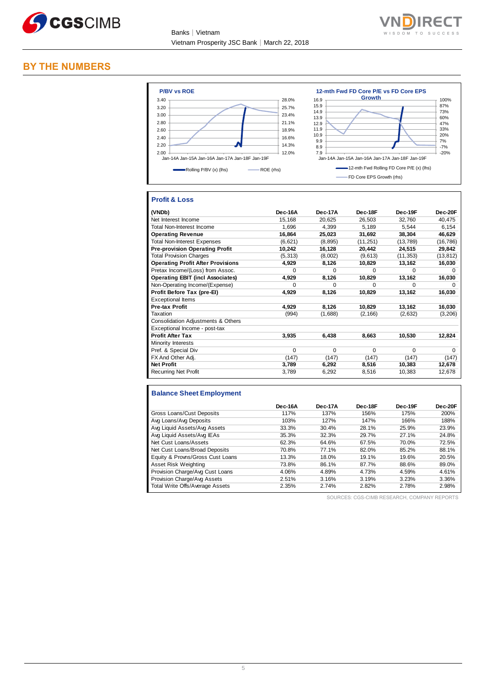



### **BY THE NUMBERS**



### **Profit & Loss**

| (VNDb)                                   | Dec-16A  | Dec-17A  | Dec-18F   | Dec-19F   | Dec-20F      |
|------------------------------------------|----------|----------|-----------|-----------|--------------|
| Net Interest Income                      | 15,168   | 20,625   | 26,503    | 32,760    | 40,475       |
| Total Non-Interest Income                | 1,696    | 4,399    | 5,189     | 5.544     | 6,154        |
| <b>Operating Revenue</b>                 | 16,864   | 25,023   | 31,692    | 38,304    | 46,629       |
| <b>Total Non-Interest Expenses</b>       | (6,621)  | (8, 895) | (11, 251) | (13, 789) | (16, 786)    |
| <b>Pre-provision Operating Profit</b>    | 10,242   | 16,128   | 20,442    | 24,515    | 29,842       |
| <b>Total Provision Charges</b>           | (5, 313) | (8,002)  | (9,613)   | (11, 353) | (13, 812)    |
| <b>Operating Profit After Provisions</b> | 4,929    | 8,126    | 10,829    | 13,162    | 16,030       |
| Pretax Income/(Loss) from Assoc.         | $\Omega$ | $\Omega$ | $\Omega$  | $\Omega$  | $\Omega$     |
| <b>Operating EBIT (incl Associates)</b>  | 4,929    | 8,126    | 10,829    | 13,162    | 16,030       |
| Non-Operating Income/(Expense)           | $\Omega$ | $\Omega$ | $\Omega$  | $\Omega$  | <sup>0</sup> |
| Profit Before Tax (pre-EI)               | 4,929    | 8,126    | 10,829    | 13,162    | 16,030       |
| <b>Exceptional Items</b>                 |          |          |           |           |              |
| <b>Pre-tax Profit</b>                    | 4,929    | 8,126    | 10,829    | 13,162    | 16,030       |
| Taxation                                 | (994)    | (1,688)  | (2, 166)  | (2,632)   | (3,206)      |
| Consolidation Adjustments & Others       |          |          |           |           |              |
| Exceptional Income - post-tax            |          |          |           |           |              |
| <b>Profit After Tax</b>                  | 3.935    | 6.438    | 8,663     | 10,530    | 12,824       |
| Minority Interests                       |          |          |           |           |              |
| Pref. & Special Div                      | $\Omega$ | $\Omega$ | $\Omega$  | $\Omega$  | $\Omega$     |
| FX And Other Adj.                        | (147)    | (147)    | (147)     | (147)     | (147)        |
| <b>Net Profit</b>                        | 3,789    | 6,292    | 8,516     | 10,383    | 12,678       |
| <b>Recurring Net Profit</b>              | 3,789    | 6,292    | 8,516     | 10,383    | 12,678       |

### **Balance Sheet Employment**

|                                  | Dec-16A | Dec-17A | Dec-18F | Dec-19F | Dec-20F |
|----------------------------------|---------|---------|---------|---------|---------|
| Gross Loans/Cust Deposits        | 117%    | 137%    | 156%    | 175%    | 200%    |
| Avg Loans/Avg Deposits           | 103%    | 127%    | 147%    | 166%    | 188%    |
| Avg Liquid Assets/Avg Assets     | 33.3%   | 30.4%   | 28.1%   | 25.9%   | 23.9%   |
| Avg Liquid Assets/Avg IEAs       | 35.3%   | 32.3%   | 29.7%   | 27.1%   | 24.8%   |
| Net Cust Loans/Assets            | 62.3%   | 64.6%   | 67.5%   | 70.0%   | 72.5%   |
| Net Cust Loans/Broad Deposits    | 70.8%   | 77.1%   | 82.0%   | 85.2%   | 88.1%   |
| Equity & Provns/Gross Cust Loans | 13.3%   | 18.0%   | 19.1%   | 19.6%   | 20.5%   |
| Asset Risk Weighting             | 73.8%   | 86.1%   | 87.7%   | 88.6%   | 89.0%   |
| Provision Charge/Avg Cust Loans  | 4.06%   | 4.89%   | 4.73%   | 4.59%   | 4.61%   |
| Provision Charge/Avg Assets      | 2.51%   | 3.16%   | 3.19%   | 3.23%   | 3.36%   |
| Total Write Offs/Average Assets  | 2.35%   | 2.74%   | 2.82%   | 2.78%   | 2.98%   |

SOURCES: CGS-CIMB RESEARCH, COMPANY REPORTS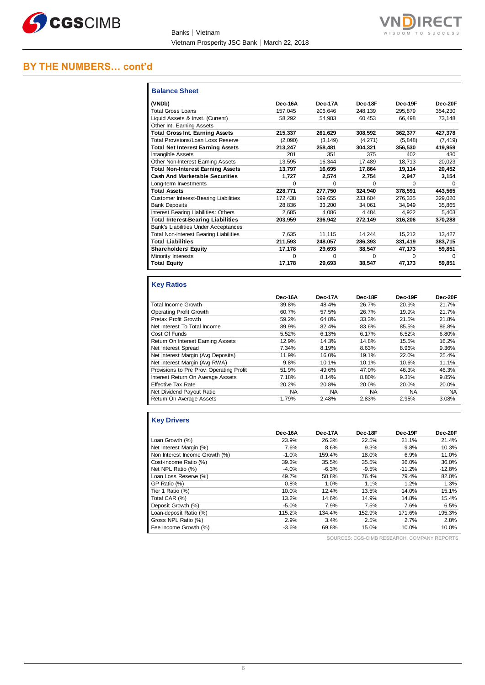



# **BY THE NUMBERS… cont'd**

| <b>Balance Sheet</b>                          |              |          |          |              |          |
|-----------------------------------------------|--------------|----------|----------|--------------|----------|
| (VNDb)                                        | Dec-16A      | Dec-17A  | Dec-18F  | Dec-19F      | Dec-20F  |
| Total Gross Loans                             | 157,045      | 206,646  | 248,139  | 295,879      | 354,230  |
| Liquid Assets & Invst. (Current)              | 58,292       | 54.983   | 60.453   | 66.498       | 73,148   |
| Other Int. Earning Assets                     |              |          |          |              |          |
| <b>Total Gross Int. Earning Assets</b>        | 215,337      | 261,629  | 308,592  | 362,377      | 427,378  |
| Total Provisions/Loan Loss Reserve            | (2,090)      | (3, 149) | (4,271)  | (5, 848)     | (7, 419) |
| <b>Total Net Interest Earning Assets</b>      | 213.247      | 258.481  | 304.321  | 356.530      | 419.959  |
| Intangible Assets                             | 201          | 351      | 375      | 402          | 430      |
| Other Non-Interest Earning Assets             | 13,595       | 16,344   | 17,489   | 18,713       | 20,023   |
| <b>Total Non-Interest Earning Assets</b>      | 13,797       | 16,695   | 17,864   | 19,114       | 20,452   |
| <b>Cash And Marketable Securities</b>         | 1.727        | 2.574    | 2.754    | 2.947        | 3,154    |
| Long-term Investments                         | <sup>0</sup> | 0        | 0        | <sup>0</sup> | $\Omega$ |
| <b>Total Assets</b>                           | 228,771      | 277,750  | 324,940  | 378,591      | 443,565  |
| <b>Customer Interest-Bearing Liabilities</b>  | 172.438      | 199.655  | 233.604  | 276.335      | 329.020  |
| <b>Bank Deposits</b>                          | 28,836       | 33,200   | 34,061   | 34.949       | 35,865   |
| Interest Bearing Liabilities: Others          | 2,685        | 4.086    | 4.484    | 4.922        | 5,403    |
| <b>Total Interest-Bearing Liabilities</b>     | 203.959      | 236.942  | 272,149  | 316,206      | 370,288  |
| Bank's Liabilities Under Acceptances          |              |          |          |              |          |
| <b>Total Non-Interest Bearing Liabilities</b> | 7,635        | 11.115   | 14.244   | 15,212       | 13.427   |
| <b>Total Liabilities</b>                      | 211.593      | 248,057  | 286,393  | 331.419      | 383.715  |
| <b>Shareholders' Equity</b>                   | 17,178       | 29,693   | 38,547   | 47,173       | 59,851   |
| Minority Interests                            | $\Omega$     | 0        | $\Omega$ | $\Omega$     | $\Omega$ |
| <b>Total Equity</b>                           | 17,178       | 29,693   | 38,547   | 47,173       | 59,851   |

### **Key Ratios**

|                                          | Dec-16A   | Dec-17A   | Dec-18F   | Dec-19F   | Dec-20F   |
|------------------------------------------|-----------|-----------|-----------|-----------|-----------|
| <b>Total Income Growth</b>               | 39.8%     | 48.4%     | 26.7%     | 20.9%     | 21.7%     |
| <b>Operating Profit Growth</b>           | 60.7%     | 57.5%     | 26.7%     | 19.9%     | 21.7%     |
| Pretax Profit Growth                     | 59.2%     | 64.8%     | 33.3%     | 21.5%     | 21.8%     |
| Net Interest To Total Income             | 89.9%     | 82.4%     | 83.6%     | 85.5%     | 86.8%     |
| Cost Of Funds                            | 5.52%     | 6.13%     | 6.17%     | 6.52%     | 6.80%     |
| Return On Interest Earning Assets        | 12.9%     | 14.3%     | 14.8%     | 15.5%     | 16.2%     |
| Net Interest Spread                      | 7.34%     | 8.19%     | 8.63%     | 8.96%     | 9.36%     |
| Net Interest Margin (Avg Deposits)       | 11.9%     | 16.0%     | 19.1%     | 22.0%     | 25.4%     |
| Net Interest Margin (Avg RWA)            | 9.8%      | 10.1%     | 10.1%     | 10.6%     | 11.1%     |
| Provisions to Pre Prov. Operating Profit | 51.9%     | 49.6%     | 47.0%     | 46.3%     | 46.3%     |
| Interest Return On Average Assets        | 7.18%     | 8.14%     | 8.80%     | 9.31%     | 9.85%     |
| <b>Effective Tax Rate</b>                | 20.2%     | 20.8%     | 20.0%     | 20.0%     | 20.0%     |
| Net Dividend Payout Ratio                | <b>NA</b> | <b>NA</b> | <b>NA</b> | <b>NA</b> | <b>NA</b> |
| Return On Average Assets                 | 1.79%     | 2.48%     | 2.83%     | 2.95%     | 3.08%     |

# **Key Drivers**

|                                | Dec-16A | Dec-17A | Dec-18F | Dec-19F  | Dec-20F  |
|--------------------------------|---------|---------|---------|----------|----------|
| Loan Growth (%)                | 23.9%   | 26.3%   | 22.5%   | 21.1%    | 21.4%    |
| Net Interest Margin (%)        | 7.6%    | 8.6%    | 9.3%    | 9.8%     | 10.3%    |
| Non Interest Income Growth (%) | $-1.0%$ | 159.4%  | 18.0%   | 6.9%     | 11.0%    |
| Cost-income Ratio (%)          | 39.3%   | 35.5%   | 35.5%   | 36.0%    | 36.0%    |
| Net NPL Ratio (%)              | $-4.0%$ | $-6.3%$ | $-9.5%$ | $-11.2%$ | $-12.8%$ |
| Loan Loss Reserve (%)          | 49.7%   | 50.8%   | 76.4%   | 79.4%    | 82.0%    |
| GP Ratio (%)                   | 0.8%    | 1.0%    | 1.1%    | 1.2%     | 1.3%     |
| Tier 1 Ratio (%)               | 10.0%   | 12.4%   | 13.5%   | 14.0%    | 15.1%    |
| Total CAR (%)                  | 13.2%   | 14.6%   | 14.9%   | 14.8%    | 15.4%    |
| Deposit Growth (%)             | $-5.0%$ | 7.9%    | 7.5%    | 7.6%     | 6.5%     |
| Loan-deposit Ratio (%)         | 115.2%  | 134.4%  | 152.9%  | 171.6%   | 195.3%   |
| Gross NPL Ratio (%)            | 2.9%    | 3.4%    | 2.5%    | 2.7%     | 2.8%     |
| Fee Income Growth (%)          | $-3.6%$ | 69.8%   | 15.0%   | 10.0%    | 10.0%    |

SOURCES: CGS-CIMB RESEARCH, COMPANY REPORTS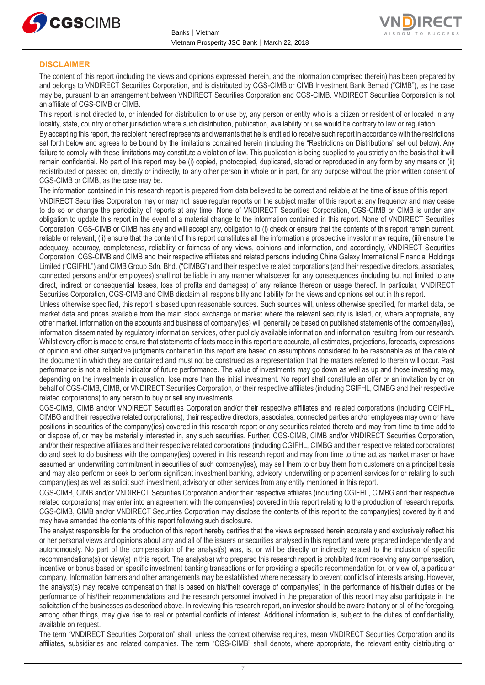



### **DISCLAIMER**

The content of this report (including the views and opinions expressed therein, and the information comprised therein) has been prepared by and belongs to VNDIRECT Securities Corporation, and is distributed by CGS-CIMB or CIMB Investment Bank Berhad ("CIMB"), as the case may be, pursuant to an arrangement between VNDIRECT Securities Corporation and CGS-CIMB. VNDIRECT Securities Corporation is not an affiliate of CGS-CIMB or CIMB.

This report is not directed to, or intended for distribution to or use by, any person or entity who is a citizen or resident of or located in any locality, state, country or other jurisdiction where such distribution, publication, availability or use would be contrary to law or regulation.

By accepting this report, the recipient hereof represents and warrants that he is entitled to receive such report in accordance with the restrictions set forth below and agrees to be bound by the limitations contained herein (including the "Restrictions on Distributions" set out below). Any failure to comply with these limitations may constitute a violation of law. This publication is being supplied to you strictly on the basis that it will remain confidential. No part of this report may be (i) copied, photocopied, duplicated, stored or reproduced in any form by any means or (ii) redistributed or passed on, directly or indirectly, to any other person in whole or in part, for any purpose without the prior written consent of CGS-CIMB or CIMB, as the case may be.

The information contained in this research report is prepared from data believed to be correct and reliable at the time of issue of this report. VNDIRECT Securities Corporation may or may not issue regular reports on the subject matter of this report at any frequency and may cease to do so or change the periodicity of reports at any time. None of VNDIRECT Securities Corporation, CGS-CIMB or CIMB is under any obligation to update this report in the event of a material change to the information contained in this report. None of VNDIRECT Securities Corporation, CGS-CIMB or CIMB has any and will accept any, obligation to (i) check or ensure that the contents of this report remain current, reliable or relevant, (ii) ensure that the content of this report constitutes all the information a prospective investor may require, (iii) ensure the adequacy, accuracy, completeness, reliability or fairness of any views, opinions and information, and accordingly, VNDIRECT Securities Corporation, CGS-CIMB and CIMB and their respective affiliates and related persons including China Galaxy International Financial Holdings Limited ("CGIFHL") and CIMB Group Sdn. Bhd. ("CIMBG") and their respective related corporations (and their respective directors, associates, connected persons and/or employees) shall not be liable in any manner whatsoever for any consequences (including but not limited to any direct, indirect or consequential losses, loss of profits and damages) of any reliance thereon or usage thereof. In particular, VNDIRECT Securities Corporation, CGS-CIMB and CIMB disclaim all responsibility and liability for the views and opinions set out in this report.

Unless otherwise specified, this report is based upon reasonable sources. Such sources will, unless otherwise specified, for market data, be market data and prices available from the main stock exchange or market where the relevant security is listed, or, where appropriate, any other market. Information on the accounts and business of company(ies) will generally be based on published statements of the company(ies), information disseminated by regulatory information services, other publicly available information and information resulting from our research. Whilst every effort is made to ensure that statements of facts made in this report are accurate, all estimates, projections, forecasts, expressions of opinion and other subjective judgments contained in this report are based on assumptions considered to be reasonable as of the date of the document in which they are contained and must not be construed as a representation that the matters referred to therein will occur. Past performance is not a reliable indicator of future performance. The value of investments may go down as well as up and those investing may, depending on the investments in question, lose more than the initial investment. No report shall constitute an offer or an invitation by or on behalf of CGS-CIMB, CIMB, or VNDIRECT Securities Corporation, or their respective affiliates (including CGIFHL, CIMBG and their respective related corporations) to any person to buy or sell any investments.

CGS-CIMB, CIMB and/or VNDIRECT Securities Corporation and/or their respective affiliates and related corporations (including CGIFHL, CIMBG and their respective related corporations), their respective directors, associates, connected parties and/or employees may own or have positions in securities of the company(ies) covered in this research report or any securities related thereto and may from time to time add to or dispose of, or may be materially interested in, any such securities. Further, CGS-CIMB, CIMB and/or VNDIRECT Securities Corporation, and/or their respective affiliates and their respective related corporations (including CGIFHL, CIMBG and their respective related corporations) do and seek to do business with the company(ies) covered in this research report and may from time to time act as market maker or have assumed an underwriting commitment in securities of such company(ies), may sell them to or buy them from customers on a principal basis and may also perform or seek to perform significant investment banking, advisory, underwriting or placement services for or relating to such company(ies) as well as solicit such investment, advisory or other services from any entity mentioned in this report.

CGS-CIMB, CIMB and/or VNDIRECT Securities Corporation and/or their respective affiliates (including CGIFHL, CIMBG and their respective related corporations) may enter into an agreement with the company(ies) covered in this report relating to the production of research reports. CGS-CIMB, CIMB and/or VNDIRECT Securities Corporation may disclose the contents of this report to the company(ies) covered by it and may have amended the contents of this report following such disclosure.

The analyst responsible for the production of this report hereby certifies that the views expressed herein accurately and exclusively reflect his or her personal views and opinions about any and all of the issuers or securities analysed in this report and were prepared independently and autonomously. No part of the compensation of the analyst(s) was, is, or will be directly or indirectly related to the inclusion of specific recommendations(s) or view(s) in this report. The analyst(s) who prepared this research report is prohibited from receiving any compensation, incentive or bonus based on specific investment banking transactions or for providing a specific recommendation for, or view of, a particular company. Information barriers and other arrangements may be established where necessary to prevent conflicts of interests arising. However, the analyst(s) may receive compensation that is based on his/their coverage of company(ies) in the performance of his/their duties or the performance of his/their recommendations and the research personnel involved in the preparation of this report may also participate in the solicitation of the businesses as described above. In reviewing this research report, an investor should be aware that any or all of the foregoing, among other things, may give rise to real or potential conflicts of interest. Additional information is, subject to the duties of confidentiality, available on request.

The term "VNDIRECT Securities Corporation" shall, unless the context otherwise requires, mean VNDIRECT Securities Corporation and its affiliates, subsidiaries and related companies. The term "CGS-CIMB" shall denote, where appropriate, the relevant entity distributing or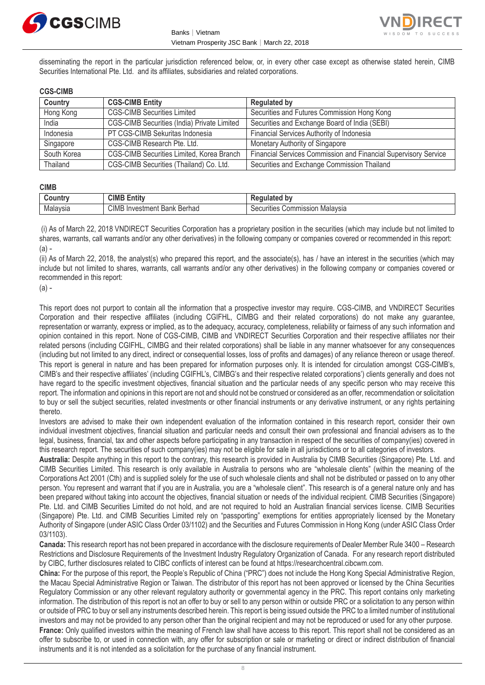



disseminating the report in the particular jurisdiction referenced below, or, in every other case except as otherwise stated herein, CIMB Securities International Pte. Ltd. and its affiliates, subsidiaries and related corporations.

### **CGS-CIMB**

| Country     | <b>CGS-CIMB Entity</b>                                         | <b>Regulated by</b>                                             |  |
|-------------|----------------------------------------------------------------|-----------------------------------------------------------------|--|
| Hong Kong   | <b>CGS-CIMB Securities Limited</b>                             | Securities and Futures Commission Hong Kong                     |  |
| India       | <b>CGS-CIMB Securities (India) Private Limited</b>             | Securities and Exchange Board of India (SEBI)                   |  |
| Indonesia   | PT CGS-CIMB Sekuritas Indonesia                                | Financial Services Authority of Indonesia                       |  |
| Singapore   | CGS-CIMB Research Pte. Ltd.<br>Monetary Authority of Singapore |                                                                 |  |
| South Korea | CGS-CIMB Securities Limited, Korea Branch                      | Financial Services Commission and Financial Supervisory Service |  |
| Thailand    | CGS-CIMB Securities (Thailand) Co. Ltd.                        | Securities and Exchange Commission Thailand                     |  |

### **CIMB**

| <b>∍ountr</b> | CIMB<br>.<br>:ntit\                                        | b٧<br>- - - -<br>--                                   |
|---------------|------------------------------------------------------------|-------------------------------------------------------|
| Malaysia      | CIMB<br>Berhad<br>$-Lan$<br>∕ Investmen†<br>≀ IN∶<br>Dal - | Malavsia<br>Commission "<br>$\sim$<br>:curities<br>אכ |

(i) As of March 22, 2018 VNDIRECT Securities Corporation has a proprietary position in the securities (which may include but not limited to shares, warrants, call warrants and/or any other derivatives) in the following company or companies covered or recommended in this report:  $(a)$  -

(ii) As of March 22, 2018, the analyst(s) who prepared this report, and the associate(s), has / have an interest in the securities (which may include but not limited to shares, warrants, call warrants and/or any other derivatives) in the following company or companies covered or recommended in this report:

 $(a)$  -

This report does not purport to contain all the information that a prospective investor may require. CGS-CIMB, and VNDIRECT Securities Corporation and their respective affiliates (including CGIFHL, CIMBG and their related corporations) do not make any guarantee, representation or warranty, express or implied, as to the adequacy, accuracy, completeness, reliability or fairness of any such information and opinion contained in this report. None of CGS-CIMB, CIMB and VNDIRECT Securities Corporation and their respective affiliates nor their related persons (including CGIFHL, CIMBG and their related corporations) shall be liable in any manner whatsoever for any consequences (including but not limited to any direct, indirect or consequential losses, loss of profits and damages) of any reliance thereon or usage thereof. This report is general in nature and has been prepared for information purposes only. It is intended for circulation amongst CGS-CIMB's, CIMB's and their respective affiliates' (including CGIFHL's, CIMBG's and their respective related corporations') clients generally and does not have regard to the specific investment objectives, financial situation and the particular needs of any specific person who may receive this report. The information and opinions in this report are not and should not be construed or considered as an offer, recommendation or solicitation to buy or sell the subject securities, related investments or other financial instruments or any derivative instrument, or any rights pertaining thereto.

Investors are advised to make their own independent evaluation of the information contained in this research report, consider their own individual investment objectives, financial situation and particular needs and consult their own professional and financial advisers as to the legal, business, financial, tax and other aspects before participating in any transaction in respect of the securities of company(ies) covered in this research report. The securities of such company(ies) may not be eligible for sale in all jurisdictions or to all categories of investors.

**Australia:** Despite anything in this report to the contrary, this research is provided in Australia by CIMB Securities (Singapore) Pte. Ltd. and CIMB Securities Limited. This research is only available in Australia to persons who are "wholesale clients" (within the meaning of the Corporations Act 2001 (Cth) and is supplied solely for the use of such wholesale clients and shall not be distributed or passed on to any other person. You represent and warrant that if you are in Australia, you are a "wholesale client". This research is of a general nature only and has been prepared without taking into account the objectives, financial situation or needs of the individual recipient. CIMB Securities (Singapore) Pte. Ltd. and CIMB Securities Limited do not hold, and are not required to hold an Australian financial services license. CIMB Securities (Singapore) Pte. Ltd. and CIMB Securities Limited rely on "passporting" exemptions for entities appropriately licensed by the Monetary Authority of Singapore (under ASIC Class Order 03/1102) and the Securities and Futures Commission in Hong Kong (under ASIC Class Order 03/1103).

**Canada:** This research report has not been prepared in accordance with the disclosure requirements of Dealer Member Rule 3400 – Research Restrictions and Disclosure Requirements of the Investment Industry Regulatory Organization of Canada. For any research report distributed by CIBC, further disclosures related to CIBC conflicts of interest can be found at https://researchcentral.cibcwm.com.

**China:** For the purpose of this report, the People's Republic of China ("PRC") does not include the Hong Kong Special Administrative Region, the Macau Special Administrative Region or Taiwan. The distributor of this report has not been approved or licensed by the China Securities Regulatory Commission or any other relevant regulatory authority or governmental agency in the PRC. This report contains only marketing information. The distribution of this report is not an offer to buy or sell to any person within or outside PRC or a solicitation to any person within or outside of PRC to buy or sell any instruments described herein. This report is being issued outside the PRC to a limited number of institutional investors and may not be provided to any person other than the original recipient and may not be reproduced or used for any other purpose.

**France:** Only qualified investors within the meaning of French law shall have access to this report. This report shall not be considered as an offer to subscribe to, or used in connection with, any offer for subscription or sale or marketing or direct or indirect distribution of financial instruments and it is not intended as a solicitation for the purchase of any financial instrument.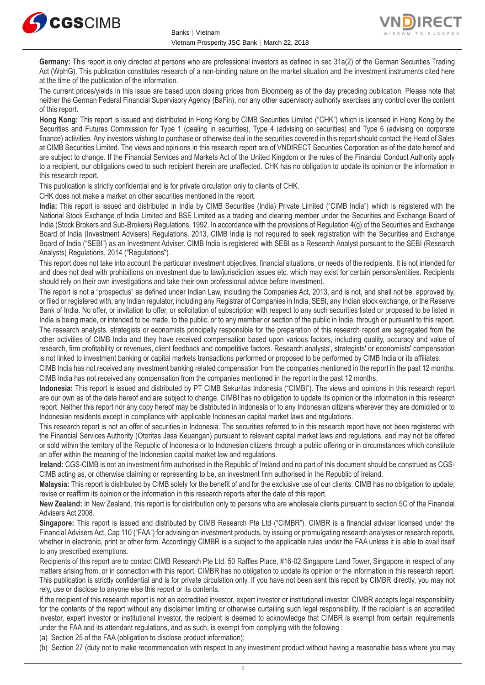



**Germany:** This report is only directed at persons who are professional investors as defined in sec 31a(2) of the German Securities Trading Act (WpHG). This publication constitutes research of a non-binding nature on the market situation and the investment instruments cited here at the time of the publication of the information.

The current prices/yields in this issue are based upon closing prices from Bloomberg as of the day preceding publication. Please note that neither the German Federal Financial Supervisory Agency (BaFin), nor any other supervisory authority exercises any control over the content of this report.

**Hong Kong:** This report is issued and distributed in Hong Kong by CIMB Securities Limited ("CHK") which is licensed in Hong Kong by the Securities and Futures Commission for Type 1 (dealing in securities), Type 4 (advising on securities) and Type 6 (advising on corporate finance) activities. Any investors wishing to purchase or otherwise deal in the securities covered in this report should contact the Head of Sales at CIMB Securities Limited. The views and opinions in this research report are of VNDIRECT Securities Corporation as of the date hereof and are subject to change. If the Financial Services and Markets Act of the United Kingdom or the rules of the Financial Conduct Authority apply to a recipient, our obligations owed to such recipient therein are unaffected. CHK has no obligation to update its opinion or the information in this research report.

This publication is strictly confidential and is for private circulation only to clients of CHK.

CHK does not make a market on other securities mentioned in the report.

**India:** This report is issued and distributed in India by CIMB Securities (India) Private Limited ("CIMB India") which is registered with the National Stock Exchange of India Limited and BSE Limited as a trading and clearing member under the Securities and Exchange Board of India (Stock Brokers and Sub-Brokers) Regulations, 1992. In accordance with the provisions of Regulation 4(g) of the Securities and Exchange Board of India (Investment Advisers) Regulations, 2013, CIMB India is not required to seek registration with the Securities and Exchange Board of India ("SEBI") as an Investment Adviser. CIMB India is registered with SEBI as a Research Analyst pursuant to the SEBI (Research Analysts) Regulations, 2014 ("Regulations").

This report does not take into account the particular investment objectives, financial situations, or needs of the recipients. It is not intended for and does not deal with prohibitions on investment due to law/jurisdiction issues etc. which may exist for certain persons/entities. Recipients should rely on their own investigations and take their own professional advice before investment.

The report is not a "prospectus" as defined under Indian Law, including the Companies Act, 2013, and is not, and shall not be, approved by, or filed or registered with, any Indian regulator, including any Registrar of Companies in India, SEBI, any Indian stock exchange, or the Reserve Bank of India. No offer, or invitation to offer, or solicitation of subscription with respect to any such securities listed or proposed to be listed in India is being made, or intended to be made, to the public, or to any member or section of the public in India, through or pursuant to this report. The research analysts, strategists or economists principally responsible for the preparation of this research report are segregated from the other activities of CIMB India and they have received compensation based upon various factors, including quality, accuracy and value of research, firm profitability or revenues, client feedback and competitive factors. Research analysts', strategists' or economists' compensation is not linked to investment banking or capital markets transactions performed or proposed to be performed by CIMB India or its affiliates.

CIMB India has not received any investment banking related compensation from the companies mentioned in the report in the past 12 months. CIMB India has not received any compensation from the companies mentioned in the report in the past 12 months.

**Indonesia:** This report is issued and distributed by PT CIMB Sekuritas Indonesia ("CIMBI"). The views and opinions in this research report are our own as of the date hereof and are subject to change. CIMBI has no obligation to update its opinion or the information in this research report. Neither this report nor any copy hereof may be distributed in Indonesia or to any Indonesian citizens wherever they are domiciled or to Indonesian residents except in compliance with applicable Indonesian capital market laws and regulations.

This research report is not an offer of securities in Indonesia. The securities referred to in this research report have not been registered with the Financial Services Authority (Otoritas Jasa Keuangan) pursuant to relevant capital market laws and regulations, and may not be offered or sold within the territory of the Republic of Indonesia or to Indonesian citizens through a public offering or in circumstances which constitute an offer within the meaning of the Indonesian capital market law and regulations.

**Ireland:** CGS-CIMB is not an investment firm authorised in the Republic of Ireland and no part of this document should be construed as CGS-CIMB acting as, or otherwise claiming or representing to be, an investment firm authorised in the Republic of Ireland.

**Malaysia:** This report is distributed by CIMB solely for the benefit of and for the exclusive use of our clients. CIMB has no obligation to update, revise or reaffirm its opinion or the information in this research reports after the date of this report.

**New Zealand:** In New Zealand, this report is for distribution only to persons who are wholesale clients pursuant to section 5C of the Financial Advisers Act 2008.

**Singapore:** This report is issued and distributed by CIMB Research Pte Ltd ("CIMBR"). CIMBR is a financial adviser licensed under the Financial Advisers Act, Cap 110 ("FAA") for advising on investment products, by issuing or promulgating research analyses or research reports, whether in electronic, print or other form. Accordingly CIMBR is a subject to the applicable rules under the FAA unless it is able to avail itself to any prescribed exemptions.

Recipients of this report are to contact CIMB Research Pte Ltd, 50 Raffles Place, #16-02 Singapore Land Tower, Singapore in respect of any matters arising from, or in connection with this report. CIMBR has no obligation to update its opinion or the information in this research report. This publication is strictly confidential and is for private circulation only. If you have not been sent this report by CIMBR directly, you may not rely, use or disclose to anyone else this report or its contents.

If the recipient of this research report is not an accredited investor, expert investor or institutional investor, CIMBR accepts legal responsibility for the contents of the report without any disclaimer limiting or otherwise curtailing such legal responsibility. If the recipient is an accredited investor, expert investor or institutional investor, the recipient is deemed to acknowledge that CIMBR is exempt from certain requirements under the FAA and its attendant regulations, and as such, is exempt from complying with the following :

(a) Section 25 of the FAA (obligation to disclose product information);

(b) Section 27 (duty not to make recommendation with respect to any investment product without having a reasonable basis where you may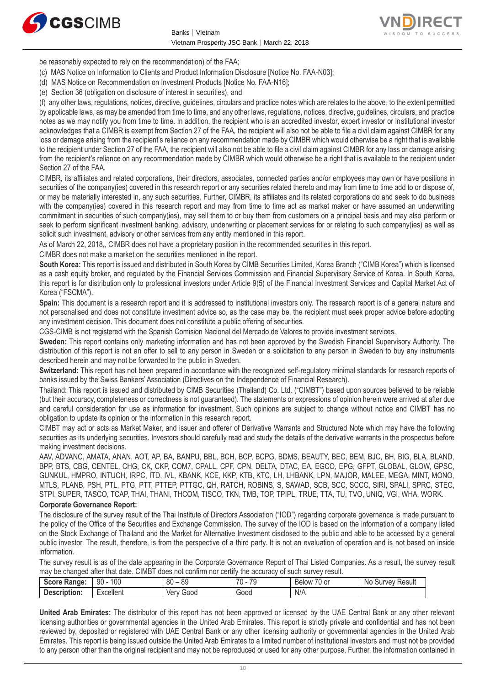



be reasonably expected to rely on the recommendation) of the FAA;

- (c) MAS Notice on Information to Clients and Product Information Disclosure [Notice No. FAA-N03];
- (d) MAS Notice on Recommendation on Investment Products [Notice No. FAA-N16];
- (e) Section 36 (obligation on disclosure of interest in securities), and

(f) any other laws, regulations, notices, directive, guidelines, circulars and practice notes which are relates to the above, to the extent permitted by applicable laws, as may be amended from time to time, and any other laws, regulations, notices, directive, guidelines, circulars, and practice notes as we may notify you from time to time. In addition, the recipient who is an accredited investor, expert investor or institutional investor acknowledges that a CIMBR is exempt from Section 27 of the FAA, the recipient will also not be able to file a civil claim against CIMBR for any loss or damage arising from the recipient's reliance on any recommendation made by CIMBR which would otherwise be a right that is available to the recipient under Section 27 of the FAA, the recipient will also not be able to file a civil claim against CIMBR for any loss or damage arising from the recipient's reliance on any recommendation made by CIMBR which would otherwise be a right that is available to the recipient under Section 27 of the FAA.

CIMBR, its affiliates and related corporations, their directors, associates, connected parties and/or employees may own or have positions in securities of the company(ies) covered in this research report or any securities related thereto and may from time to time add to or dispose of, or may be materially interested in, any such securities. Further, CIMBR, its affiliates and its related corporations do and seek to do business with the company(ies) covered in this research report and may from time to time act as market maker or have assumed an underwriting commitment in securities of such company(ies), may sell them to or buy them from customers on a principal basis and may also perform or seek to perform significant investment banking, advisory, underwriting or placement services for or relating to such company(ies) as well as solicit such investment, advisory or other services from any entity mentioned in this report.

As of March 22, 2018,, CIMBR does not have a proprietary position in the recommended securities in this report.

CIMBR does not make a market on the securities mentioned in the report.

**South Korea:** This report is issued and distributed in South Korea by CIMB Securities Limited, Korea Branch ("CIMB Korea") which is licensed as a cash equity broker, and regulated by the Financial Services Commission and Financial Supervisory Service of Korea. In South Korea, this report is for distribution only to professional investors under Article 9(5) of the Financial Investment Services and Capital Market Act of Korea ("FSCMA").

**Spain:** This document is a research report and it is addressed to institutional investors only. The research report is of a general nature and not personalised and does not constitute investment advice so, as the case may be, the recipient must seek proper advice before adopting any investment decision. This document does not constitute a public offering of securities.

CGS-CIMB is not registered with the Spanish Comision Nacional del Mercado de Valores to provide investment services.

**Sweden:** This report contains only marketing information and has not been approved by the Swedish Financial Supervisory Authority. The distribution of this report is not an offer to sell to any person in Sweden or a solicitation to any person in Sweden to buy any instruments described herein and may not be forwarded to the public in Sweden.

Switzerland: This report has not been prepared in accordance with the recognized self-regulatory minimal standards for research reports of banks issued by the Swiss Bankers' Association (Directives on the Independence of Financial Research).

Thailand: This report is issued and distributed by CIMB Securities (Thailand) Co. Ltd. ("CIMBT") based upon sources believed to be reliable (but their accuracy, completeness or correctness is not guaranteed). The statements or expressions of opinion herein were arrived at after due and careful consideration for use as information for investment. Such opinions are subject to change without notice and CIMBT has no obligation to update its opinion or the information in this research report.

CIMBT may act or acts as Market Maker, and issuer and offerer of Derivative Warrants and Structured Note which may have the following securities as its underlying securities. Investors should carefully read and study the details of the derivative warrants in the prospectus before making investment decisions.

AAV, ADVANC, AMATA, ANAN, AOT, AP, BA, BANPU, BBL, BCH, BCP, BCPG, BDMS, BEAUTY, BEC, BEM, BJC, BH, BIG, BLA, BLAND, BPP, BTS, CBG, CENTEL, CHG, CK, CKP, COM7, CPALL, CPF, CPN, DELTA, DTAC, EA, EGCO, EPG, GFPT, GLOBAL, GLOW, GPSC, GUNKUL, HMPRO, INTUCH, IRPC, ITD, IVL, KBANK, KCE, KKP, KTB, KTC, LH, LHBANK, LPN, MAJOR, MALEE, MEGA, MINT, MONO, MTLS, PLANB, PSH, PTL, PTG, PTT, PTTEP, PTTGC, QH, RATCH, ROBINS, S, SAWAD, SCB, SCC, SCCC, SIRI, SPALI, SPRC, STEC, STPI, SUPER, TASCO, TCAP, THAI, THANI, THCOM, TISCO, TKN, TMB, TOP, TPIPL, TRUE, TTA, TU, TVO, UNIQ, VGI, WHA, WORK.

#### **Corporate Governance Report:**

The disclosure of the survey result of the Thai Institute of Directors Association ("IOD") regarding corporate governance is made pursuant to the policy of the Office of the Securities and Exchange Commission. The survey of the IOD is based on the information of a company listed on the Stock Exchange of Thailand and the Market for Alternative Investment disclosed to the public and able to be accessed by a general public investor. The result, therefore, is from the perspective of a third party. It is not an evaluation of operation and is not based on inside information.

The survey result is as of the date appearing in the Corporate Governance Report of Thai Listed Companies. As a result, the survey result may be changed after that date. CIMBT does not confirm nor certify the accuracy of such survey result.

| <b>Score Range:</b> | 100<br>90 | 0 <sup>n</sup><br>89<br>ου         | 70<br>$\overline{\phantom{a}}$ | $\overline{\phantom{a}}$<br>′0 or<br>Below | Result<br>N0<br>ourvev ' |
|---------------------|-----------|------------------------------------|--------------------------------|--------------------------------------------|--------------------------|
| Description:        | -xcellent | Good<br><b>Ver</b><br>$\mathbf{u}$ | G000                           | N/A                                        |                          |

**United Arab Emirates:** The distributor of this report has not been approved or licensed by the UAE Central Bank or any other relevant licensing authorities or governmental agencies in the United Arab Emirates. This report is strictly private and confidential and has not been reviewed by, deposited or registered with UAE Central Bank or any other licensing authority or governmental agencies in the United Arab Emirates. This report is being issued outside the United Arab Emirates to a limited number of institutional investors and must not be provided to any person other than the original recipient and may not be reproduced or used for any other purpose. Further, the information contained in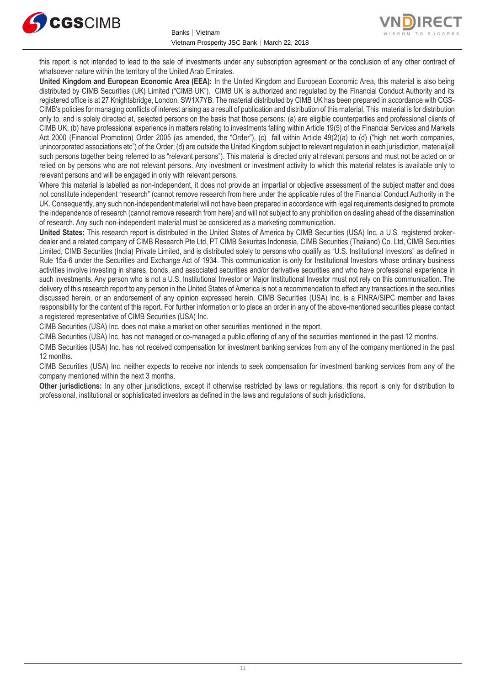



this report is not intended to lead to the sale of investments under any subscription agreement or the conclusion of any other contract of whatsoever nature within the territory of the United Arab Emirates.

**United Kingdom and European Economic Area (EEA):** In the United Kingdom and European Economic Area, this material is also being distributed by CIMB Securities (UK) Limited ("CIMB UK"). CIMB UK is authorized and regulated by the Financial Conduct Authority and its registered office is at 27 Knightsbridge, London, SW1X7YB. The material distributed by CIMB UK has been prepared in accordance with CGS-CIMB's policies for managing conflicts of interest arising as a result of publication and distribution of this material. This material is for distribution only to, and is solely directed at, selected persons on the basis that those persons: (a) are eligible counterparties and professional clients of CIMB UK; (b) have professional experience in matters relating to investments falling within Article 19(5) of the Financial Services and Markets Act 2000 (Financial Promotion) Order 2005 (as amended, the "Order"), (c) fall within Article 49(2)(a) to (d) ("high net worth companies, unincorporated associations etc") of the Order; (d) are outside the United Kingdom subject to relevant regulation in each jurisdiction, material(all such persons together being referred to as "relevant persons"). This material is directed only at relevant persons and must not be acted on or relied on by persons who are not relevant persons. Any investment or investment activity to which this material relates is available only to relevant persons and will be engaged in only with relevant persons.

Where this material is labelled as non-independent, it does not provide an impartial or objective assessment of the subject matter and does not constitute independent "research" (cannot remove research from here under the applicable rules of the Financial Conduct Authority in the UK. Consequently, any such non-independent material will not have been prepared in accordance with legal requirements designed to promote the independence of research (cannot remove research from here) and will not subject to any prohibition on dealing ahead of the dissemination of research. Any such non-independent material must be considered as a marketing communication.

**United States:** This research report is distributed in the United States of America by CIMB Securities (USA) Inc, a U.S. registered brokerdealer and a related company of CIMB Research Pte Ltd, PT CIMB Sekuritas Indonesia, CIMB Securities (Thailand) Co. Ltd, CIMB Securities Limited, CIMB Securities (India) Private Limited, and is distributed solely to persons who qualify as "U.S. Institutional Investors" as defined in Rule 15a-6 under the Securities and Exchange Act of 1934. This communication is only for Institutional Investors whose ordinary business activities involve investing in shares, bonds, and associated securities and/or derivative securities and who have professional experience in such investments. Any person who is not a U.S. Institutional Investor or Major Institutional Investor must not rely on this communication. The delivery of this research report to any person in the United States of America is not a recommendation to effect any transactions in the securities discussed herein, or an endorsement of any opinion expressed herein. CIMB Securities (USA) Inc, is a FINRA/SIPC member and takes responsibility for the content of this report. For further information or to place an order in any of the above-mentioned securities please contact a registered representative of CIMB Securities (USA) Inc.

CIMB Securities (USA) Inc. does not make a market on other securities mentioned in the report.

CIMB Securities (USA) Inc. has not managed or co-managed a public offering of any of the securities mentioned in the past 12 months.

CIMB Securities (USA) Inc. has not received compensation for investment banking services from any of the company mentioned in the past 12 months.

CIMB Securities (USA) Inc. neither expects to receive nor intends to seek compensation for investment banking services from any of the company mentioned within the next 3 months.

**Other jurisdictions:** In any other jurisdictions, except if otherwise restricted by laws or regulations, this report is only for distribution to professional, institutional or sophisticated investors as defined in the laws and regulations of such jurisdictions.